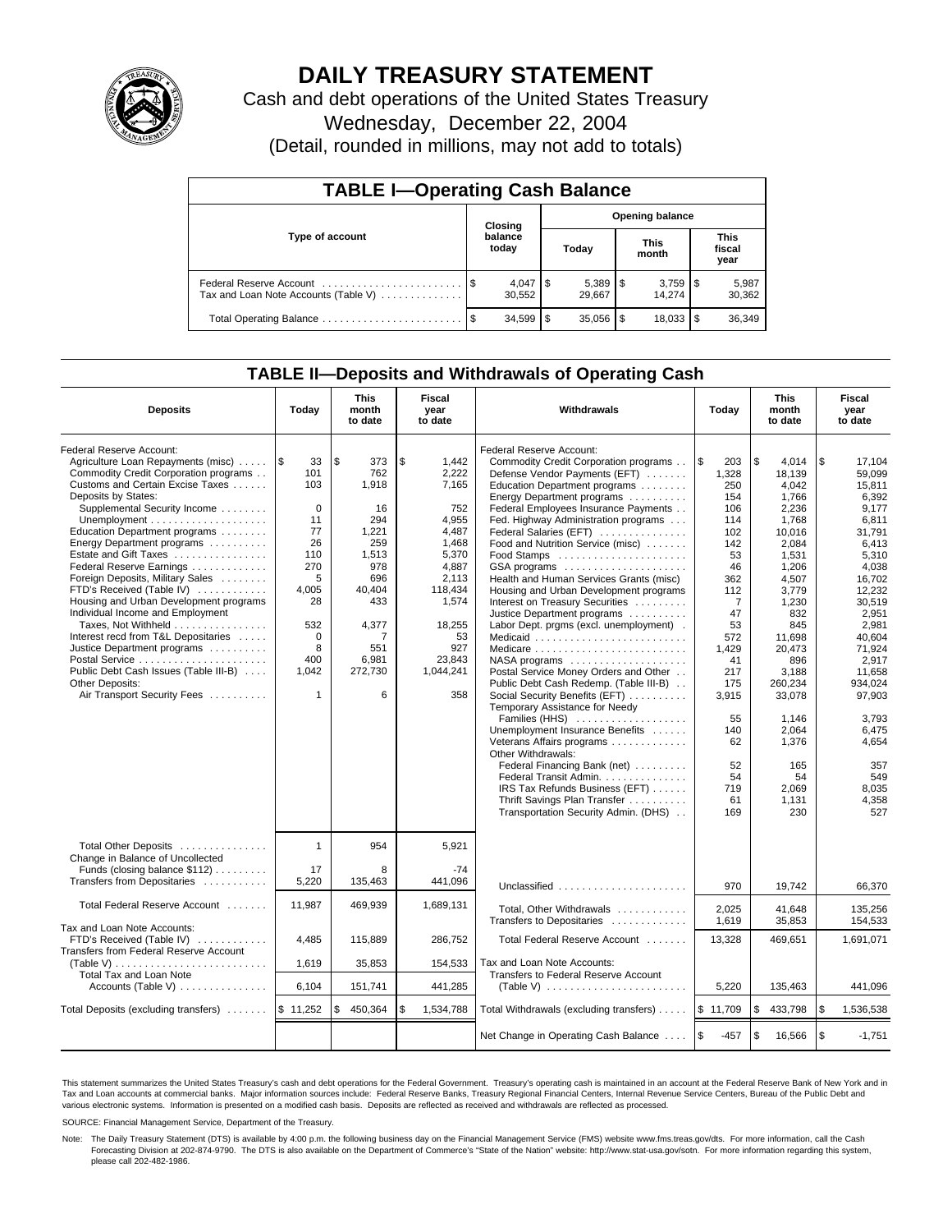

# **DAILY TREASURY STATEMENT**

Cash and debt operations of the United States Treasury Wednesday, December 22, 2004

(Detail, rounded in millions, may not add to totals)

| <b>TABLE I-Operating Cash Balance</b> |                  |        |      |              |                        |                 |                               |                 |  |  |
|---------------------------------------|------------------|--------|------|--------------|------------------------|-----------------|-------------------------------|-----------------|--|--|
|                                       | Closing          |        |      |              | <b>Opening balance</b> |                 |                               |                 |  |  |
| Type of account                       | balance<br>today |        |      | Today        |                        | This<br>month   | <b>This</b><br>fiscal<br>year |                 |  |  |
| Tax and Loan Note Accounts (Table V)  |                  | 30.552 |      | 29.667       |                        | 3,759<br>14.274 | 1\$                           | 5,987<br>30,362 |  |  |
|                                       |                  | 34,599 | - \$ | $35,056$ \\$ |                        | 18.033          |                               | 36,349          |  |  |

### **TABLE II—Deposits and Withdrawals of Operating Cash**

| <b>Deposits</b>                                                                                                                                                                                                                                                                                                                                                                                                                                                                                                                                                                                                                                                      | Today                                                                                                                                                 | <b>This</b><br>month<br>to date                                                                                                                     | <b>Fiscal</b><br>year<br>to date                                                                                                                                    | <b>Withdrawals</b>                                                                                                                                                                                                                                                                                                                                                                                                                                                                                                                                                                                                                                                                                                                                                                                                                                                                                                                                                                                                | Today                                                                                                                                                                                                                  | <b>This</b><br>month<br>to date                                                                                                                                                                                                                                   | Fiscal<br>year<br>to date                                                                                                                                                                                                                                                      |
|----------------------------------------------------------------------------------------------------------------------------------------------------------------------------------------------------------------------------------------------------------------------------------------------------------------------------------------------------------------------------------------------------------------------------------------------------------------------------------------------------------------------------------------------------------------------------------------------------------------------------------------------------------------------|-------------------------------------------------------------------------------------------------------------------------------------------------------|-----------------------------------------------------------------------------------------------------------------------------------------------------|---------------------------------------------------------------------------------------------------------------------------------------------------------------------|-------------------------------------------------------------------------------------------------------------------------------------------------------------------------------------------------------------------------------------------------------------------------------------------------------------------------------------------------------------------------------------------------------------------------------------------------------------------------------------------------------------------------------------------------------------------------------------------------------------------------------------------------------------------------------------------------------------------------------------------------------------------------------------------------------------------------------------------------------------------------------------------------------------------------------------------------------------------------------------------------------------------|------------------------------------------------------------------------------------------------------------------------------------------------------------------------------------------------------------------------|-------------------------------------------------------------------------------------------------------------------------------------------------------------------------------------------------------------------------------------------------------------------|--------------------------------------------------------------------------------------------------------------------------------------------------------------------------------------------------------------------------------------------------------------------------------|
| Federal Reserve Account:<br>Agriculture Loan Repayments (misc)<br>Commodity Credit Corporation programs<br>Customs and Certain Excise Taxes<br>Deposits by States:<br>Supplemental Security Income<br>Education Department programs<br>Energy Department programs<br>Estate and Gift Taxes<br>Federal Reserve Earnings<br>Foreign Deposits, Military Sales<br>FTD's Received (Table IV)<br>Housing and Urban Development programs<br>Individual Income and Employment<br>Taxes, Not Withheld<br>Interest recd from T&L Depositaries<br>Justice Department programs<br>Public Debt Cash Issues (Table III-B)<br><b>Other Deposits:</b><br>Air Transport Security Fees | 1\$<br>33<br>101<br>103<br>$\mathbf 0$<br>11<br>77<br>26<br>110<br>270<br>5<br>4,005<br>28<br>532<br>$\mathbf 0$<br>8<br>400<br>1,042<br>$\mathbf{1}$ | <b>\$</b><br>373<br>762<br>1,918<br>16<br>294<br>1,221<br>259<br>1,513<br>978<br>696<br>40,404<br>433<br>4,377<br>7<br>551<br>6,981<br>272,730<br>6 | \$<br>1,442<br>2,222<br>7.165<br>752<br>4,955<br>4,487<br>1.468<br>5,370<br>4,887<br>2,113<br>118,434<br>1,574<br>18,255<br>53<br>927<br>23,843<br>1,044,241<br>358 | Federal Reserve Account:<br>Commodity Credit Corporation programs<br>Defense Vendor Payments (EFT)<br>Education Department programs<br>Energy Department programs<br>Federal Employees Insurance Payments<br>Fed. Highway Administration programs<br>Federal Salaries (EFT)<br>Food and Nutrition Service (misc)<br>Food Stamps<br>GSA programs<br>Health and Human Services Grants (misc)<br>Housing and Urban Development programs<br>Interest on Treasury Securities<br>Justice Department programs<br>Labor Dept. prgms (excl. unemployment).<br>Medicaid<br>NASA programs<br>Postal Service Money Orders and Other<br>Public Debt Cash Redemp. (Table III-B)<br>Social Security Benefits (EFT)<br>Temporary Assistance for Needy<br>Families (HHS)<br>Unemployment Insurance Benefits<br>Veterans Affairs programs<br>Other Withdrawals:<br>Federal Financing Bank (net)<br>Federal Transit Admin.<br>IRS Tax Refunds Business (EFT)<br>Thrift Savings Plan Transfer<br>Transportation Security Admin. (DHS) | l \$<br>203<br>1,328<br>250<br>154<br>106<br>114<br>102<br>142<br>53<br>46<br>362<br>112<br>$\overline{7}$<br>47<br>53<br>572<br>1,429<br>41<br>217<br>175<br>3,915<br>55<br>140<br>62<br>52<br>54<br>719<br>61<br>169 | \$<br>4.014<br>18.139<br>4,042<br>1,766<br>2,236<br>1,768<br>10.016<br>2.084<br>1.531<br>1,206<br>4,507<br>3,779<br>1,230<br>832<br>845<br>11,698<br>20,473<br>896<br>3,188<br>260,234<br>33,078<br>1.146<br>2,064<br>1,376<br>165<br>54<br>2.069<br>1,131<br>230 | \$<br>17.104<br>59.099<br>15,811<br>6,392<br>9.177<br>6,811<br>31.791<br>6.413<br>5.310<br>4,038<br>16,702<br>12,232<br>30,519<br>2,951<br>2.981<br>40.604<br>71,924<br>2,917<br>11,658<br>934.024<br>97,903<br>3,793<br>6,475<br>4,654<br>357<br>549<br>8,035<br>4,358<br>527 |
| Total Other Deposits<br>Change in Balance of Uncollected<br>Funds (closing balance \$112)<br>Transfers from Depositaries                                                                                                                                                                                                                                                                                                                                                                                                                                                                                                                                             | $\mathbf{1}$<br>17<br>5,220                                                                                                                           | 954<br>8<br>135,463                                                                                                                                 | 5,921<br>$-74$<br>441,096                                                                                                                                           | Unclassified                                                                                                                                                                                                                                                                                                                                                                                                                                                                                                                                                                                                                                                                                                                                                                                                                                                                                                                                                                                                      | 970                                                                                                                                                                                                                    | 19.742                                                                                                                                                                                                                                                            | 66.370                                                                                                                                                                                                                                                                         |
| Total Federal Reserve Account                                                                                                                                                                                                                                                                                                                                                                                                                                                                                                                                                                                                                                        | 11,987                                                                                                                                                | 469,939                                                                                                                                             | 1,689,131                                                                                                                                                           | Total, Other Withdrawals                                                                                                                                                                                                                                                                                                                                                                                                                                                                                                                                                                                                                                                                                                                                                                                                                                                                                                                                                                                          | 2,025                                                                                                                                                                                                                  | 41,648                                                                                                                                                                                                                                                            | 135,256                                                                                                                                                                                                                                                                        |
| Tax and Loan Note Accounts:<br>FTD's Received (Table IV)<br>Transfers from Federal Reserve Account<br>(Table V)                                                                                                                                                                                                                                                                                                                                                                                                                                                                                                                                                      | 4,485<br>1.619                                                                                                                                        | 115,889<br>35,853                                                                                                                                   | 286,752<br>154,533                                                                                                                                                  | Transfers to Depositaries<br>Total Federal Reserve Account<br>Tax and Loan Note Accounts:                                                                                                                                                                                                                                                                                                                                                                                                                                                                                                                                                                                                                                                                                                                                                                                                                                                                                                                         | 1,619<br>13,328                                                                                                                                                                                                        | 35,853<br>469,651                                                                                                                                                                                                                                                 | 154,533<br>1,691,071                                                                                                                                                                                                                                                           |
| Total Tax and Loan Note<br>Accounts (Table V)                                                                                                                                                                                                                                                                                                                                                                                                                                                                                                                                                                                                                        | 6,104                                                                                                                                                 | 151,741                                                                                                                                             | 441,285                                                                                                                                                             | Transfers to Federal Reserve Account<br>(Table V) $\ldots \ldots \ldots \ldots \ldots \ldots \ldots$                                                                                                                                                                                                                                                                                                                                                                                                                                                                                                                                                                                                                                                                                                                                                                                                                                                                                                              | 5,220                                                                                                                                                                                                                  | 135,463                                                                                                                                                                                                                                                           | 441,096                                                                                                                                                                                                                                                                        |
| Total Deposits (excluding transfers)                                                                                                                                                                                                                                                                                                                                                                                                                                                                                                                                                                                                                                 | \$11,252                                                                                                                                              | \$<br>450,364                                                                                                                                       | \$<br>1,534,788                                                                                                                                                     | Total Withdrawals (excluding transfers)                                                                                                                                                                                                                                                                                                                                                                                                                                                                                                                                                                                                                                                                                                                                                                                                                                                                                                                                                                           | \$11,709                                                                                                                                                                                                               | \$<br>433,798                                                                                                                                                                                                                                                     | <b>S</b><br>1,536,538                                                                                                                                                                                                                                                          |
|                                                                                                                                                                                                                                                                                                                                                                                                                                                                                                                                                                                                                                                                      |                                                                                                                                                       |                                                                                                                                                     |                                                                                                                                                                     | Net Change in Operating Cash Balance                                                                                                                                                                                                                                                                                                                                                                                                                                                                                                                                                                                                                                                                                                                                                                                                                                                                                                                                                                              | l \$<br>$-457$                                                                                                                                                                                                         | \$<br>16,566                                                                                                                                                                                                                                                      | l \$<br>$-1.751$                                                                                                                                                                                                                                                               |

This statement summarizes the United States Treasury's cash and debt operations for the Federal Government. Treasury's operating cash is maintained in an account at the Federal Reserve Bank of New York and in Tax and Loan accounts at commercial banks. Major information sources include: Federal Reserve Banks, Treasury Regional Financial Centers, Internal Revenue Service Centers, Bureau of the Public Debt and<br>various electronic s

SOURCE: Financial Management Service, Department of the Treasury.

Note: The Daily Treasury Statement (DTS) is available by 4:00 p.m. the following business day on the Financial Management Service (FMS) website www.fms.treas.gov/dts. For more information, call the Cash Forecasting Division at 202-874-9790. The DTS is also available on the Department of Commerce's "State of the Nation" website: http://www.stat-usa.gov/sotn. For more information regarding this system, please call 202-482-1986.